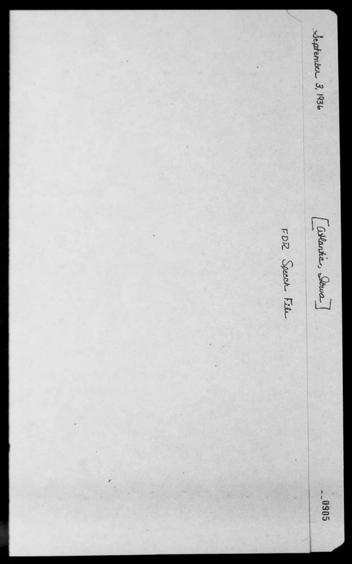Jeptember 3, 1936 [allantics Iona] FDR Speed Film  $\sim 0005$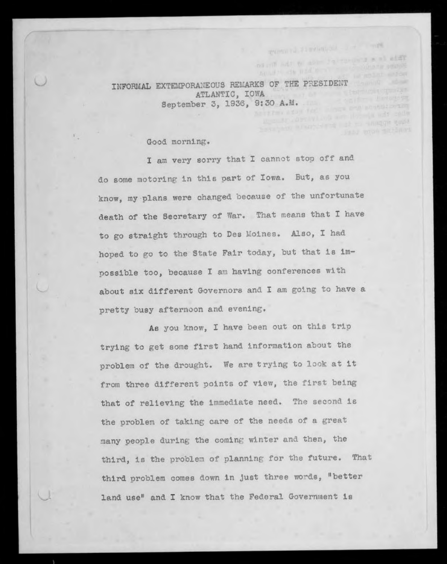**TNFORMAL EXTEMPORANEOUS REMARKS OF THE PRESIDENT CALL AND STATE OF PERSONAL PROPERTY** ATLANTIC, IOWA September 3, 1936, 9:30 A.M. he of two store for a local post propositioning

## Good morning.

I am very sorry that I cannot stop off and do some motoring in this part of Iowa. But, as you know, my plans were changed because of the unfortunate death of the Secretary of War. That means that I have to go straight through to Des Moines. Also, I had hoped to go to the State Fair today, but that is impossible too, because I am having conferences with about six different Governors and I am going to have a pretty busy afternoon and evening.

As you know, I have been out on this trip trying to get some first hand information about the problem of the drought. We are trying to look at it from three different points of view, the first being that of relieving the immediate need. The second is the problem of taking care of the needs of a great many people during the coming winter and then, the third, is the problem of planning for the future. That third problem comes down in just three words, "better land use" and I know that the Federal Government is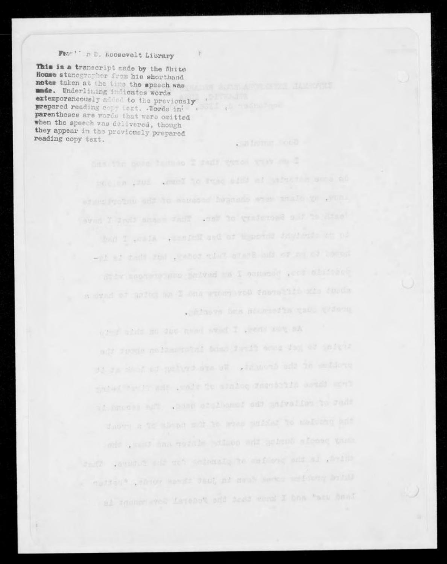## FEGHT F.D. ROOBSVelt Library

This is a transcript made by the White House stenographer from his shorthand noter taken at the time the speech was made. Underlining indicates words extemporaneously added to the previously parentheses are words that were omitted when the speech was delivered, though they appear in the previously prepared reading copy text.

> moving your wear! To twar offer at unmorn work an . Finave fars processfies the tidous

. Mineren Food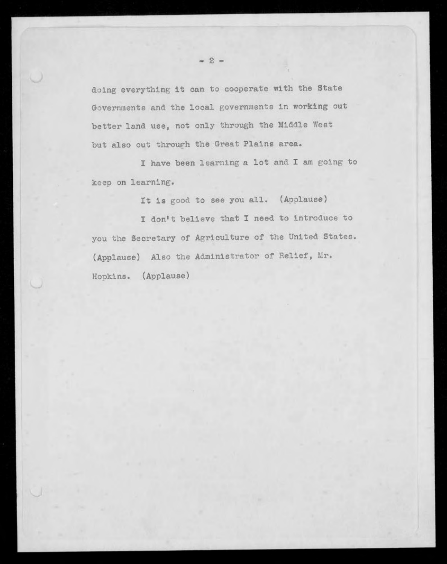doing everything it can to cooperate with the State Governments and the local governments in working out better land use, not only through the Middle West but also out through the Great Plains area.

I have been learning a lot and I am going to keep on learning.

It is good to see you all. (Applause)

I don't believe that I need to introduce to you the Secretary of Agriculture of the United States. (Applause) Also the Administrator of Relief, Mr. Hopkins. (Applause)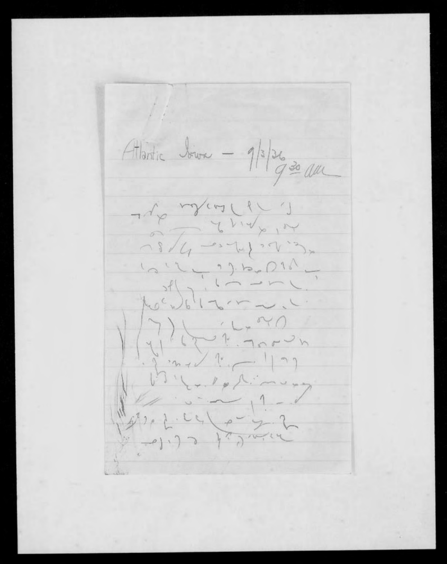Attantic lower -  $\frac{1}{2}$ /3/26 20 au  $10^{11} - 2011$ Moc doliana  $\begin{array}{c} \begin{matrix} 1 \\ 1 \\ 2 \end{matrix} \\ \begin{matrix} 1 \\ 2 \end{matrix} \\ \begin{matrix} 1 \\ 2 \end{matrix} \\ \begin{matrix} 1 \\ 2 \end{matrix} \\ \begin{matrix} 1 \\ 2 \end{matrix} \\ \begin{matrix} 1 \\ 2 \end{matrix} \\ \begin{matrix} 1 \\ 2 \end{matrix} \\ \begin{matrix} 1 \\ 2 \end{matrix} \\ \begin{matrix} 1 \\ 2 \end{matrix} \\ \begin{matrix} 1 \\ 2 \end{matrix} \\ \begin{matrix} 1 \\ 2 \end{matrix} \\ \begin{matrix} 1 \\ 2 \end{matrix} \\ \begin{matrix} 1 \\ 2 \end{matrix} \\ \begin$